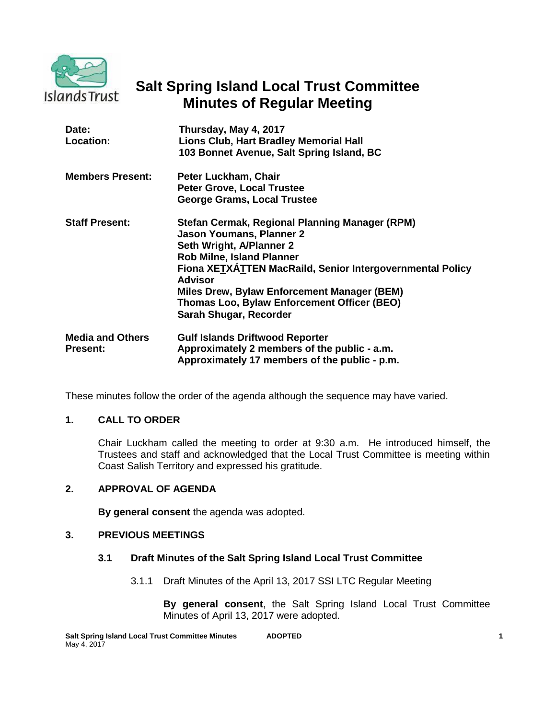

# **Salt Spring Island Local Trust Committee Minutes of Regular Meeting**

| Date:<br>Location:                         | Thursday, May 4, 2017<br>Lions Club, Hart Bradley Memorial Hall<br>103 Bonnet Avenue, Salt Spring Island, BC                                                                                                                                                                                                                                             |
|--------------------------------------------|----------------------------------------------------------------------------------------------------------------------------------------------------------------------------------------------------------------------------------------------------------------------------------------------------------------------------------------------------------|
| <b>Members Present:</b>                    | Peter Luckham, Chair<br><b>Peter Grove, Local Trustee</b><br><b>George Grams, Local Trustee</b>                                                                                                                                                                                                                                                          |
| <b>Staff Present:</b>                      | Stefan Cermak, Regional Planning Manager (RPM)<br><b>Jason Youmans, Planner 2</b><br>Seth Wright, A/Planner 2<br><b>Rob Milne, Island Planner</b><br>Fiona XETXATTEN MacRaild, Senior Intergovernmental Policy<br><b>Advisor</b><br>Miles Drew, Bylaw Enforcement Manager (BEM)<br>Thomas Loo, Bylaw Enforcement Officer (BEO)<br>Sarah Shugar, Recorder |
| <b>Media and Others</b><br><b>Present:</b> | <b>Gulf Islands Driftwood Reporter</b><br>Approximately 2 members of the public - a.m.<br>Approximately 17 members of the public - p.m.                                                                                                                                                                                                                  |

These minutes follow the order of the agenda although the sequence may have varied.

# **1. CALL TO ORDER**

Chair Luckham called the meeting to order at 9:30 a.m. He introduced himself, the Trustees and staff and acknowledged that the Local Trust Committee is meeting within Coast Salish Territory and expressed his gratitude.

# **2. APPROVAL OF AGENDA**

**By general consent** the agenda was adopted.

# **3. PREVIOUS MEETINGS**

### **3.1 Draft Minutes of the Salt Spring Island Local Trust Committee**

3.1.1 Draft Minutes of the April 13, 2017 SSI LTC Regular Meeting

**By general consent**, the Salt Spring Island Local Trust Committee Minutes of April 13, 2017 were adopted.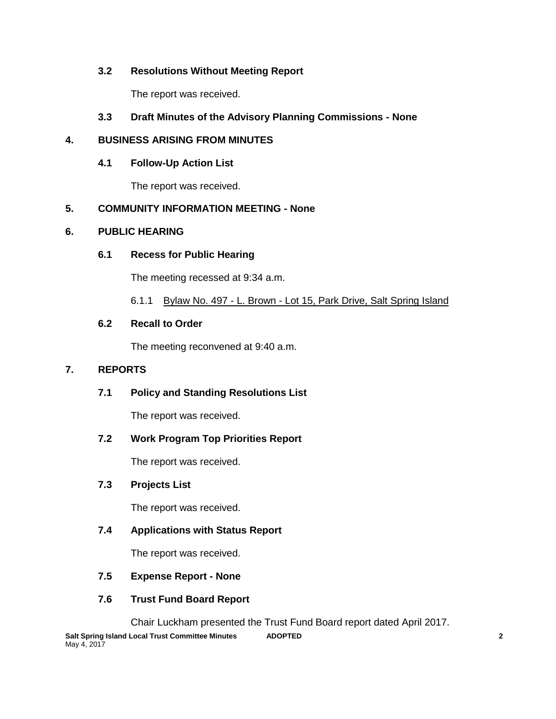# **3.2 Resolutions Without Meeting Report**

The report was received.

# **3.3 Draft Minutes of the Advisory Planning Commissions - None**

# **4. BUSINESS ARISING FROM MINUTES**

# **4.1 Follow-Up Action List**

The report was received.

# **5. COMMUNITY INFORMATION MEETING - None**

# **6. PUBLIC HEARING**

# **6.1 Recess for Public Hearing**

The meeting recessed at 9:34 a.m.

6.1.1 Bylaw No. 497 - L. Brown - Lot 15, Park Drive, Salt Spring Island

# **6.2 Recall to Order**

The meeting reconvened at 9:40 a.m.

# **7. REPORTS**

# **7.1 Policy and Standing Resolutions List**

The report was received.

# **7.2 Work Program Top Priorities Report**

The report was received.

# **7.3 Projects List**

The report was received.

# **7.4 Applications with Status Report**

The report was received.

- **7.5 Expense Report - None**
- **7.6 Trust Fund Board Report**

Chair Luckham presented the Trust Fund Board report dated April 2017.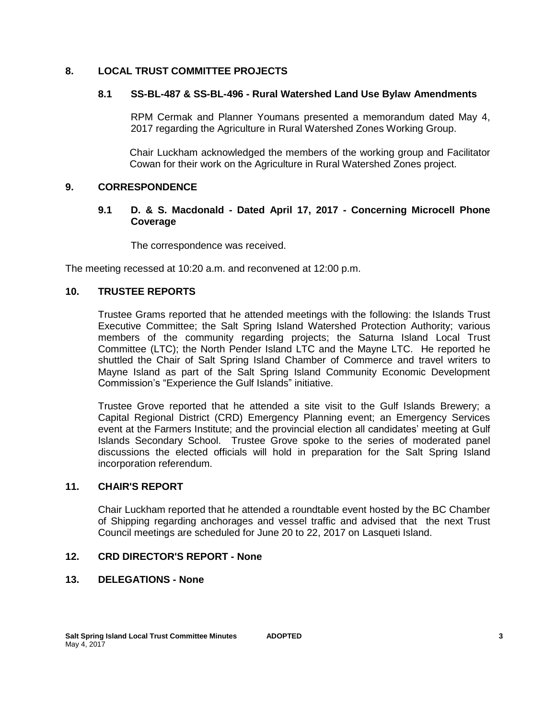# **8. LOCAL TRUST COMMITTEE PROJECTS**

# **8.1 SS-BL-487 & SS-BL-496 - Rural Watershed Land Use Bylaw Amendments**

RPM Cermak and Planner Youmans presented a memorandum dated May 4, 2017 regarding the Agriculture in Rural Watershed Zones Working Group.

Chair Luckham acknowledged the members of the working group and Facilitator Cowan for their work on the Agriculture in Rural Watershed Zones project.

# **9. CORRESPONDENCE**

# **9.1 D. & S. Macdonald - Dated April 17, 2017 - Concerning Microcell Phone Coverage**

The correspondence was received.

The meeting recessed at 10:20 a.m. and reconvened at 12:00 p.m.

# **10. TRUSTEE REPORTS**

Trustee Grams reported that he attended meetings with the following: the Islands Trust Executive Committee; the Salt Spring Island Watershed Protection Authority; various members of the community regarding projects; the Saturna Island Local Trust Committee (LTC); the North Pender Island LTC and the Mayne LTC. He reported he shuttled the Chair of Salt Spring Island Chamber of Commerce and travel writers to Mayne Island as part of the Salt Spring Island Community Economic Development Commission's "Experience the Gulf Islands" initiative.

Trustee Grove reported that he attended a site visit to the Gulf Islands Brewery; a Capital Regional District (CRD) Emergency Planning event; an Emergency Services event at the Farmers Institute; and the provincial election all candidates' meeting at Gulf Islands Secondary School. Trustee Grove spoke to the series of moderated panel discussions the elected officials will hold in preparation for the Salt Spring Island incorporation referendum.

### **11. CHAIR'S REPORT**

Chair Luckham reported that he attended a roundtable event hosted by the BC Chamber of Shipping regarding anchorages and vessel traffic and advised that the next Trust Council meetings are scheduled for June 20 to 22, 2017 on Lasqueti Island.

# **12. CRD DIRECTOR'S REPORT - None**

# **13. DELEGATIONS - None**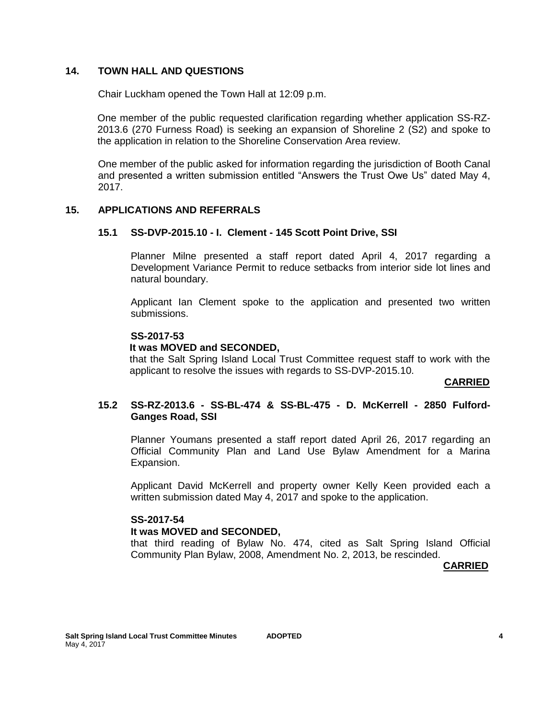# **14. TOWN HALL AND QUESTIONS**

Chair Luckham opened the Town Hall at 12:09 p.m.

One member of the public requested clarification regarding whether application SS-RZ-2013.6 (270 Furness Road) is seeking an expansion of Shoreline 2 (S2) and spoke to the application in relation to the Shoreline Conservation Area review.

One member of the public asked for information regarding the jurisdiction of Booth Canal and presented a written submission entitled "Answers the Trust Owe Us" dated May 4, 2017.

### **15. APPLICATIONS AND REFERRALS**

### **15.1 SS-DVP-2015.10 - I. Clement - 145 Scott Point Drive, SSI**

Planner Milne presented a staff report dated April 4, 2017 regarding a Development Variance Permit to reduce setbacks from interior side lot lines and natural boundary.

Applicant Ian Clement spoke to the application and presented two written submissions.

### **SS-2017-53**

#### **It was MOVED and SECONDED,**

that the Salt Spring Island Local Trust Committee request staff to work with the applicant to resolve the issues with regards to SS-DVP-2015.10.

### **CARRIED**

# **15.2 SS-RZ-2013.6 - SS-BL-474 & SS-BL-475 - D. McKerrell - 2850 Fulford-Ganges Road, SSI**

Planner Youmans presented a staff report dated April 26, 2017 regarding an Official Community Plan and Land Use Bylaw Amendment for a Marina Expansion.

Applicant David McKerrell and property owner Kelly Keen provided each a written submission dated May 4, 2017 and spoke to the application.

#### **SS-2017-54**

#### **It was MOVED and SECONDED,**

that third reading of Bylaw No. 474, cited as Salt Spring Island Official Community Plan Bylaw, 2008, Amendment No. 2, 2013, be rescinded.

**CARRIED**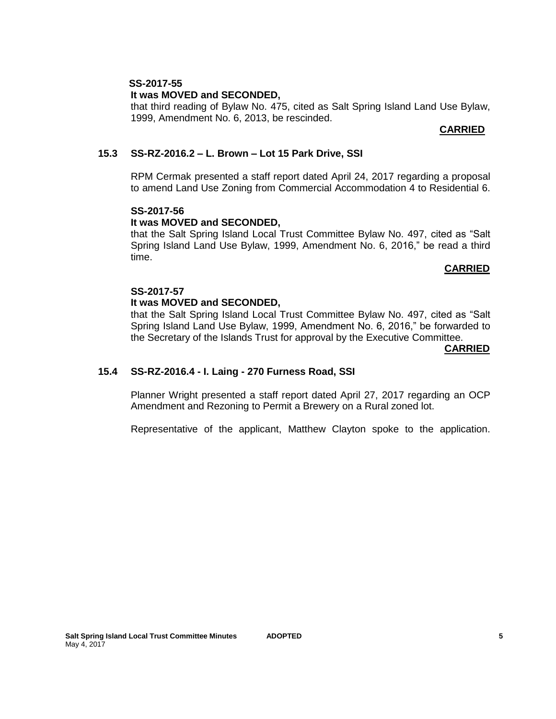# **SS-2017-55**

### **It was MOVED and SECONDED,**

that third reading of Bylaw No. 475, cited as Salt Spring Island Land Use Bylaw, 1999, Amendment No. 6, 2013, be rescinded.

### **CARRIED**

### **15.3 SS-RZ-2016.2 – L. Brown – Lot 15 Park Drive, SSI**

RPM Cermak presented a staff report dated April 24, 2017 regarding a proposal to amend Land Use Zoning from Commercial Accommodation 4 to Residential 6.

# **SS-2017-56**

# **It was MOVED and SECONDED,**

that the Salt Spring Island Local Trust Committee Bylaw No. 497, cited as "Salt Spring Island Land Use Bylaw, 1999, Amendment No. 6, 2016," be read a third time.

### **CARRIED**

# **SS-2017-57**

# **It was MOVED and SECONDED,**

that the Salt Spring Island Local Trust Committee Bylaw No. 497, cited as "Salt Spring Island Land Use Bylaw, 1999, Amendment No. 6, 2016," be forwarded to the Secretary of the Islands Trust for approval by the Executive Committee.

#### **CARRIED**

### **15.4 SS-RZ-2016.4 - I. Laing - 270 Furness Road, SSI**

Planner Wright presented a staff report dated April 27, 2017 regarding an OCP Amendment and Rezoning to Permit a Brewery on a Rural zoned lot.

Representative of the applicant, Matthew Clayton spoke to the application.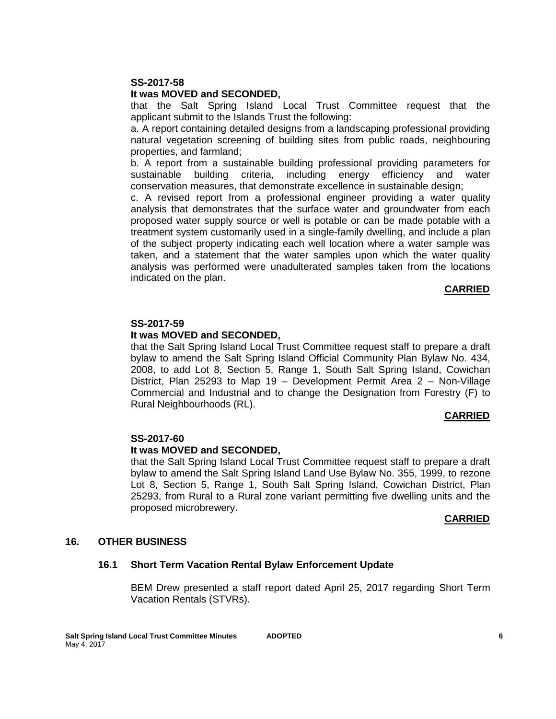#### **SS-2017-58**

#### **It was MOVED and SECONDED,**

that the Salt Spring Island Local Trust Committee request that the applicant submit to the Islands Trust the following:

a. A report containing detailed designs from a landscaping professional providing natural vegetation screening of building sites from public roads, neighbouring properties, and farmland;

b. A report from a sustainable building professional providing parameters for sustainable building criteria, including energy efficiency and water conservation measures, that demonstrate excellence in sustainable design;

c. A revised report from a professional engineer providing a water quality analysis that demonstrates that the surface water and groundwater from each proposed water supply source or well is potable or can be made potable with a treatment system customarily used in a single-family dwelling, and include a plan of the subject property indicating each well location where a water sample was taken, and a statement that the water samples upon which the water quality analysis was performed were unadulterated samples taken from the locations indicated on the plan.

#### **CARRIED**

#### **SS-2017-59**

#### **It was MOVED and SECONDED,**

that the Salt Spring Island Local Trust Committee request staff to prepare a draft bylaw to amend the Salt Spring Island Official Community Plan Bylaw No. 434, 2008, to add Lot 8, Section 5, Range 1, South Salt Spring Island, Cowichan District, Plan 25293 to Map 19 – Development Permit Area 2 – Non-Village Commercial and Industrial and to change the Designation from Forestry (F) to Rural Neighbourhoods (RL).

#### *CARRIED* **CARRIED**

#### **SS-2017-60**

#### **It was MOVED and SECONDED,**

that the Salt Spring Island Local Trust Committee request staff to prepare a draft bylaw to amend the Salt Spring Island Land Use Bylaw No. 355, 1999, to rezone Lot 8, Section 5, Range 1, South Salt Spring Island, Cowichan District, Plan 25293, from Rural to a Rural zone variant permitting five dwelling units and the proposed microbrewery.

#### **CARRIED**

#### **16. OTHER BUSINESS**

### **16.1 Short Term Vacation Rental Bylaw Enforcement Update**

BEM Drew presented a staff report dated April 25, 2017 regarding Short Term Vacation Rentals (STVRs).